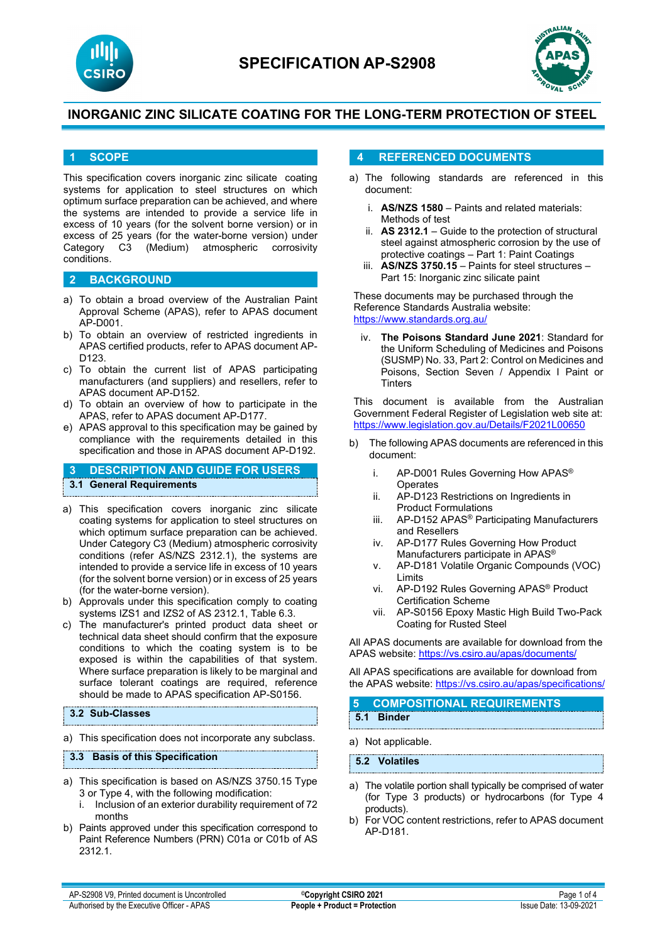



## **1 SCOPE**

This specification covers inorganic zinc silicate coating systems for application to steel structures on which optimum surface preparation can be achieved, and where the systems are intended to provide a service life in excess of 10 years (for the solvent borne version) or in excess of 25 years (for the water-borne version) under<br>Category C3 (Medium) atmospheric corrosivity atmospheric conditions.

## **2 BACKGROUND**

- a) To obtain a broad overview of the Australian Paint Approval Scheme (APAS), refer to APAS document AP-D001.
- b) To obtain an overview of restricted ingredients in APAS certified products, refer to APAS document AP-D123.
- c) To obtain the current list of APAS participating manufacturers (and suppliers) and resellers, refer to APAS document AP-D152.
- d) To obtain an overview of how to participate in the APAS, refer to APAS document AP-D177.
- e) APAS approval to this specification may be gained by compliance with the requirements detailed in this specification and those in APAS document AP-D192.

# **3 DESCRIPTION AND GUIDE FOR USERS**

# **3.1 General Requirements**

- a) This specification covers inorganic zinc silicate coating systems for application to steel structures on which optimum surface preparation can be achieved. Under Category C3 (Medium) atmospheric corrosivity conditions (refer AS/NZS 2312.1), the systems are intended to provide a service life in excess of 10 years (for the solvent borne version) or in excess of 25 years (for the water-borne version).
- b) Approvals under this specification comply to coating systems IZS1 and IZS2 of AS 2312.1, Table 6.3.
- c) The manufacturer's printed product data sheet or technical data sheet should confirm that the exposure conditions to which the coating system is to be exposed is within the capabilities of that system. Where surface preparation is likely to be marginal and surface tolerant coatings are required, reference should be made to APAS specification AP-S0156.

#### **3.2 Sub-Classes**

a) This specification does not incorporate any subclass.

#### **3.3 Basis of this Specification**

- a) This specification is based on AS/NZS 3750.15 Type 3 or Type 4, with the following modification:
	- i. Inclusion of an exterior durability requirement of 72 months
- b) Paints approved under this specification correspond to Paint Reference Numbers (PRN) C01a or C01b of AS 2312.1.

## **4 REFERENCED DOCUMENTS**

- a) The following standards are referenced in this document:
	- i. **AS/NZS 1580** Paints and related materials: Methods of test
	- ii. **AS 2312.1** Guide to the protection of structural steel against atmospheric corrosion by the use of protective coatings – Part 1: Paint Coatings
	- iii. **AS/NZS 3750.15** Paints for steel structures Part 15: Inorganic zinc silicate paint

These documents may be purchased through the Reference Standards Australia website: <https://www.standards.org.au/>

**The Poisons Standard June 2021: Standard for** the Uniform Scheduling of Medicines and Poisons (SUSMP) No. 33, Part 2: Control on Medicines and Poisons, Section Seven / Appendix I Paint or **Tinters** 

This document is available from the Australian Government Federal Register of Legislation web site at: <https://www.legislation.gov.au/Details/F2021L00650>

- b) The following APAS documents are referenced in this document:
	- i. AP-D001 Rules Governing How APAS® **Operates**
	- ii. AP-D123 Restrictions on Ingredients in Product Formulations
	- iii. AP-D152 APAS® Participating Manufacturers and Resellers
	- iv. AP-D177 Rules Governing How Product Manufacturers participate in APAS®
	- v. AP-D181 Volatile Organic Compounds (VOC) Limits
	- vi. AP-D192 Rules Governing APAS® Product Certification Scheme
	- vii. AP-S0156 Epoxy Mastic High Build Two-Pack Coating for Rusted Steel

All APAS documents are available for download from the APAS website: <https://vs.csiro.au/apas/documents/>

All APAS specifications are available for download from the APAS website:<https://vs.csiro.au/apas/specifications/>

## **5 COMPOSITIONAL REQUIREMENTS 5.1 Binder**

a) Not applicable.

**5.2 Volatiles**

- a) The volatile portion shall typically be comprised of water (for Type 3 products) or hydrocarbons (for Type 4 products).
- b) For VOC content restrictions, refer to APAS document AP-D181.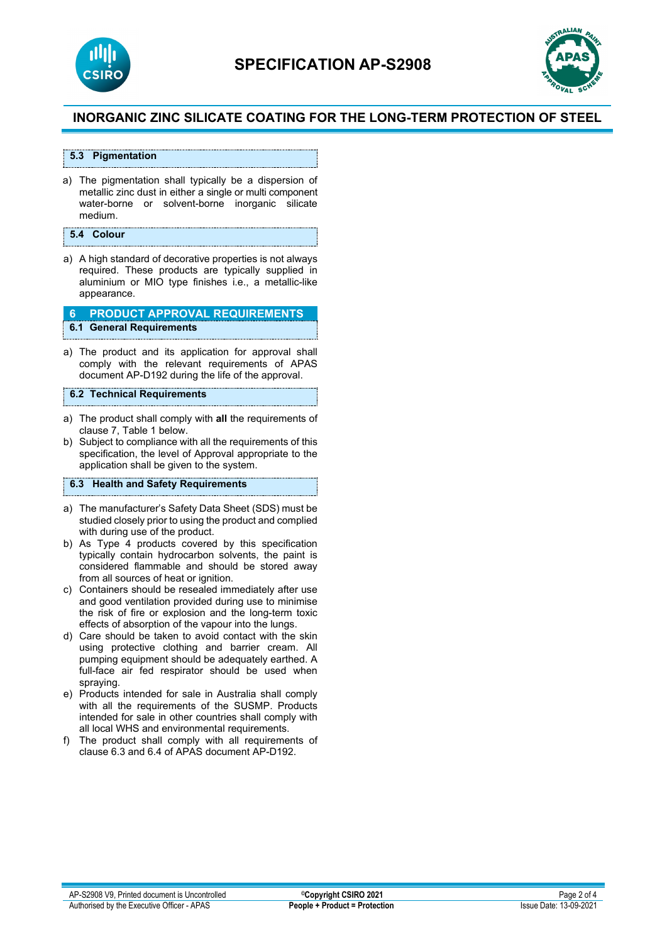



## **5.3 Pigmentation**

a) The pigmentation shall typically be a dispersion of metallic zinc dust in either a single or multi component water-borne or solvent-borne inorganic silicate medium.

## **5.4 Colour**

a) A high standard of decorative properties is not always required. These products are typically supplied in aluminium or MIO type finishes i.e., a metallic-like appearance.

#### **6 PRODUCT APPROVAL REQUIREMENTS 6.1 General Requirements**

a) The product and its application for approval shall comply with the relevant requirements of APAS document AP-D192 during the life of the approval.

#### **6.2 Technical Requirements**

- a) The product shall comply with **all** the requirements of clause 7, Table 1 below.
- b) Subject to compliance with all the requirements of this specification, the level of Approval appropriate to the application shall be given to the system.

## **6.3 Health and Safety Requirements**

- a) The manufacturer's Safety Data Sheet (SDS) must be studied closely prior to using the product and complied with during use of the product.
- b) As Type 4 products covered by this specification typically contain hydrocarbon solvents, the paint is considered flammable and should be stored away from all sources of heat or ignition.
- c) Containers should be resealed immediately after use and good ventilation provided during use to minimise the risk of fire or explosion and the long-term toxic effects of absorption of the vapour into the lungs.
- d) Care should be taken to avoid contact with the skin using protective clothing and barrier cream. All pumping equipment should be adequately earthed. A full-face air fed respirator should be used when spraying.
- e) Products intended for sale in Australia shall comply with all the requirements of the SUSMP. Products intended for sale in other countries shall comply with all local WHS and environmental requirements.
- f) The product shall comply with all requirements of clause 6.3 and 6.4 of APAS document AP-D192.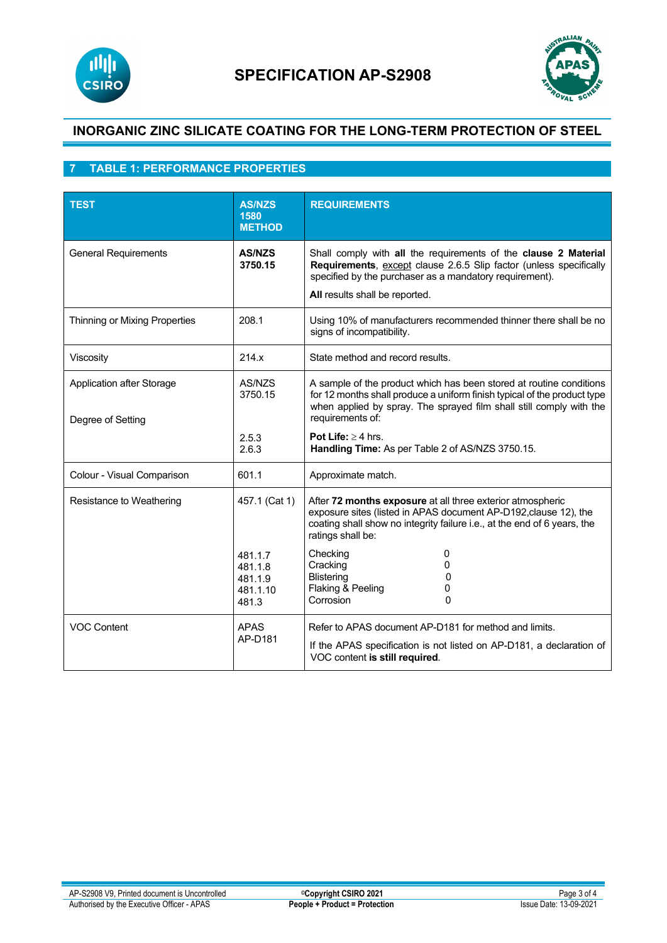



# **7 TABLE 1: PERFORMANCE PROPERTIES**

| <b>TEST</b>                                    | <b>AS/NZS</b><br>1580<br><b>METHOD</b>             | <b>REQUIREMENTS</b>                                                                                                                                                                                                                        |
|------------------------------------------------|----------------------------------------------------|--------------------------------------------------------------------------------------------------------------------------------------------------------------------------------------------------------------------------------------------|
| <b>General Requirements</b>                    | <b>AS/NZS</b><br>3750.15                           | Shall comply with all the requirements of the clause 2 Material<br>Requirements, except clause 2.6.5 Slip factor (unless specifically<br>specified by the purchaser as a mandatory requirement).<br>All results shall be reported.         |
| Thinning or Mixing Properties                  | 208.1                                              | Using 10% of manufacturers recommended thinner there shall be no<br>signs of incompatibility.                                                                                                                                              |
| Viscosity                                      | 214.x                                              | State method and record results.                                                                                                                                                                                                           |
| Application after Storage<br>Degree of Setting | AS/NZS<br>3750.15                                  | A sample of the product which has been stored at routine conditions<br>for 12 months shall produce a uniform finish typical of the product type<br>when applied by spray. The sprayed film shall still comply with the<br>requirements of: |
|                                                | 2.5.3<br>2.6.3                                     | Pot Life: $\geq$ 4 hrs.<br>Handling Time: As per Table 2 of AS/NZS 3750.15.                                                                                                                                                                |
| Colour - Visual Comparison                     | 601.1                                              | Approximate match.                                                                                                                                                                                                                         |
| Resistance to Weathering                       | 457.1 (Cat 1)                                      | After 72 months exposure at all three exterior atmospheric<br>exposure sites (listed in APAS document AP-D192, clause 12), the<br>coating shall show no integrity failure i.e., at the end of 6 years, the<br>ratings shall be:            |
|                                                | 481.1.7<br>481.1.8<br>481.1.9<br>481.1.10<br>481.3 | Checking<br>0<br>Cracking<br>0<br><b>Blistering</b><br>0<br>Flaking & Peeling<br>0<br>Corrosion<br>$\mathbf{0}$                                                                                                                            |
| <b>VOC Content</b>                             | <b>APAS</b><br>AP-D181                             | Refer to APAS document AP-D181 for method and limits.<br>If the APAS specification is not listed on AP-D181, a declaration of<br>VOC content is still required.                                                                            |